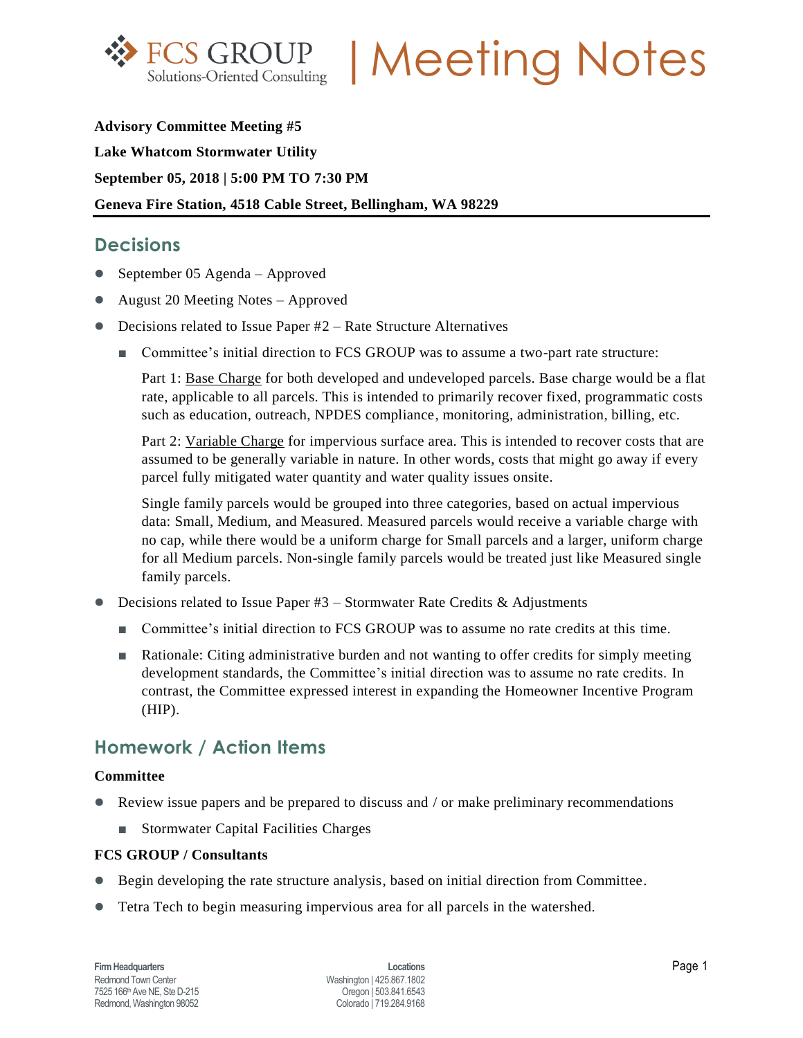

**FCS GROUP | Meeting Notes** 

**Advisory Committee Meeting #5 Lake Whatcom Stormwater Utility September 05, 2018 | 5:00 PM TO 7:30 PM Geneva Fire Station, 4518 Cable Street, Bellingham, WA 98229**

# **Decisions**

- September 05 Agenda Approved
- August 20 Meeting Notes Approved
- Decisions related to Issue Paper #2 Rate Structure Alternatives
	- Committee's initial direction to FCS GROUP was to assume a two-part rate structure:

Part 1: Base Charge for both developed and undeveloped parcels. Base charge would be a flat rate, applicable to all parcels. This is intended to primarily recover fixed, programmatic costs such as education, outreach, NPDES compliance, monitoring, administration, billing, etc.

Part 2: Variable Charge for impervious surface area. This is intended to recover costs that are assumed to be generally variable in nature. In other words, costs that might go away if every parcel fully mitigated water quantity and water quality issues onsite.

Single family parcels would be grouped into three categories, based on actual impervious data: Small, Medium, and Measured. Measured parcels would receive a variable charge with no cap, while there would be a uniform charge for Small parcels and a larger, uniform charge for all Medium parcels. Non-single family parcels would be treated just like Measured single family parcels.

- $\bullet$  Decisions related to Issue Paper #3 Stormwater Rate Credits & Adjustments
	- Committee's initial direction to FCS GROUP was to assume no rate credits at this time.
	- Rationale: Citing administrative burden and not wanting to offer credits for simply meeting development standards, the Committee's initial direction was to assume no rate credits. In contrast, the Committee expressed interest in expanding the Homeowner Incentive Program (HIP).

## **Homework / Action Items**

### **Committee**

- Review issue papers and be prepared to discuss and / or make preliminary recommendations
	- Stormwater Capital Facilities Charges

### **FCS GROUP / Consultants**

- Begin developing the rate structure analysis, based on initial direction from Committee.
- Tetra Tech to begin measuring impervious area for all parcels in the watershed.